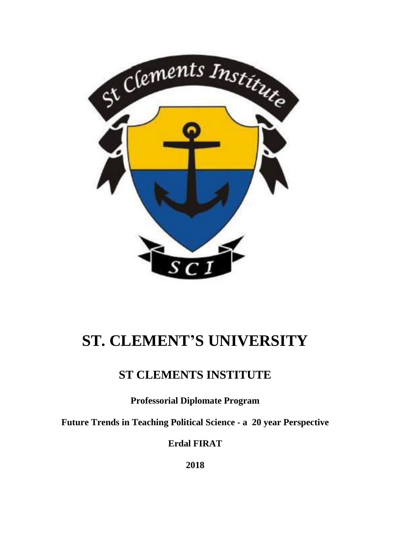

# **ST. CLEMENT'S UNIVERSITY**

# **ST CLEMENTS INSTITUTE**

**Professorial Diplomate Program**

**Future Trends in Teaching Political Science - a 20 year Perspective**

**Erdal FIRAT**

**2018**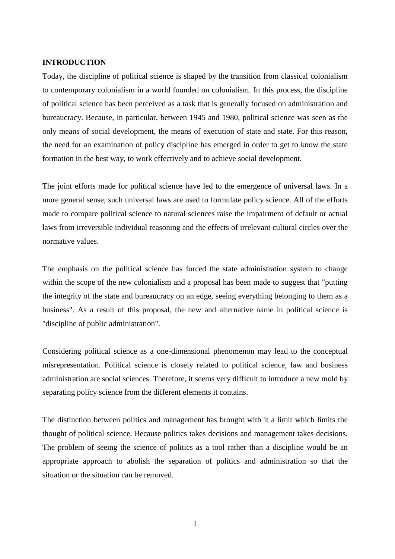#### **INTRODUCTION**

Today, the discipline of political science is shaped by the transition from classical colonialism to contemporary colonialism in a world founded on colonialism. In this process, the discipline of political science has been perceived as a task that is generally focused on administration and bureaucracy. Because, in particular, between 1945 and 1980, political science was seen as the only means of social development, the means of execution of state and state. For this reason, the need for an examination of policy discipline has emerged in order to get to know the state formation in the best way, to work effectively and to achieve social development.

The joint efforts made for political science have led to the emergence of universal laws. In a more general sense, such universal laws are used to formulate policy science. All of the efforts made to compare political science to natural sciences raise the impairment of default or actual laws from irreversible individual reasoning and the effects of irrelevant cultural circles over the normative values.

The emphasis on the political science has forced the state administration system to change within the scope of the new colonialism and a proposal has been made to suggest that "putting the integrity of the state and bureaucracy on an edge, seeing everything belonging to them as a business". As a result of this proposal, the new and alternative name in political science is "discipline of public administration".

Considering political science as a one-dimensional phenomenon may lead to the conceptual misrepresentation. Political science is closely related to political science, law and business administration are social sciences. Therefore, it seems very difficult to introduce a new mold by separating policy science from the different elements it contains.

The distinction between politics and management has brought with it a limit which limits the thought of political science. Because politics takes decisions and management takes decisions. The problem of seeing the science of politics as a tool rather than a discipline would be an appropriate approach to abolish the separation of politics and administration so that the situation or the situation can be removed.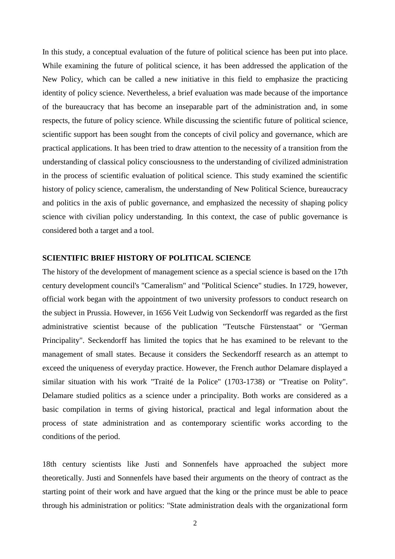In this study, a conceptual evaluation of the future of political science has been put into place. While examining the future of political science, it has been addressed the application of the New Policy, which can be called a new initiative in this field to emphasize the practicing identity of policy science. Nevertheless, a brief evaluation was made because of the importance of the bureaucracy that has become an inseparable part of the administration and, in some respects, the future of policy science. While discussing the scientific future of political science, scientific support has been sought from the concepts of civil policy and governance, which are practical applications. It has been tried to draw attention to the necessity of a transition from the understanding of classical policy consciousness to the understanding of civilized administration in the process of scientific evaluation of political science. This study examined the scientific history of policy science, cameralism, the understanding of New Political Science, bureaucracy and politics in the axis of public governance, and emphasized the necessity of shaping policy science with civilian policy understanding. In this context, the case of public governance is considered both a target and a tool.

#### **SCIENTIFIC BRIEF HISTORY OF POLITICAL SCIENCE**

The history of the development of management science as a special science is based on the 17th century development council's "Cameralism" and "Political Science" studies. In 1729, however, official work began with the appointment of two university professors to conduct research on the subject in Prussia. However, in 1656 Veit Ludwig von Seckendorff was regarded as the first administrative scientist because of the publication "Teutsche Fürstenstaat" or "German Principality". Seckendorff has limited the topics that he has examined to be relevant to the management of small states. Because it considers the Seckendorff research as an attempt to exceed the uniqueness of everyday practice. However, the French author Delamare displayed a similar situation with his work "Traité de la Police" (1703-1738) or "Treatise on Polity". Delamare studied politics as a science under a principality. Both works are considered as a basic compilation in terms of giving historical, practical and legal information about the process of state administration and as contemporary scientific works according to the conditions of the period.

18th century scientists like Justi and Sonnenfels have approached the subject more theoretically. Justi and Sonnenfels have based their arguments on the theory of contract as the starting point of their work and have argued that the king or the prince must be able to peace through his administration or politics: "State administration deals with the organizational form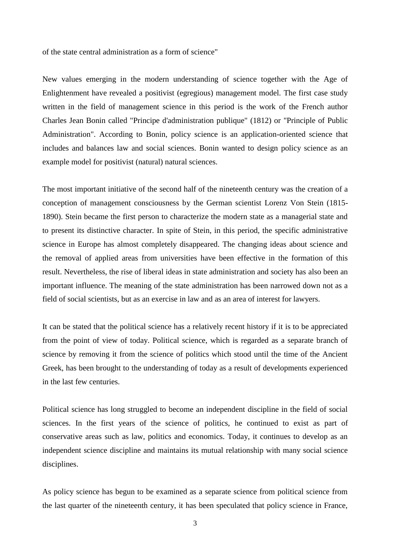of the state central administration as a form of science"

New values emerging in the modern understanding of science together with the Age of Enlightenment have revealed a positivist (egregious) management model. The first case study written in the field of management science in this period is the work of the French author Charles Jean Bonin called "Principe d'administration publique" (1812) or "Principle of Public Administration". According to Bonin, policy science is an application-oriented science that includes and balances law and social sciences. Bonin wanted to design policy science as an example model for positivist (natural) natural sciences.

The most important initiative of the second half of the nineteenth century was the creation of a conception of management consciousness by the German scientist Lorenz Von Stein (1815- 1890). Stein became the first person to characterize the modern state as a managerial state and to present its distinctive character. In spite of Stein, in this period, the specific administrative science in Europe has almost completely disappeared. The changing ideas about science and the removal of applied areas from universities have been effective in the formation of this result. Nevertheless, the rise of liberal ideas in state administration and society has also been an important influence. The meaning of the state administration has been narrowed down not as a field of social scientists, but as an exercise in law and as an area of interest for lawyers.

It can be stated that the political science has a relatively recent history if it is to be appreciated from the point of view of today. Political science, which is regarded as a separate branch of science by removing it from the science of politics which stood until the time of the Ancient Greek, has been brought to the understanding of today as a result of developments experienced in the last few centuries.

Political science has long struggled to become an independent discipline in the field of social sciences. In the first years of the science of politics, he continued to exist as part of conservative areas such as law, politics and economics. Today, it continues to develop as an independent science discipline and maintains its mutual relationship with many social science disciplines.

As policy science has begun to be examined as a separate science from political science from the last quarter of the nineteenth century, it has been speculated that policy science in France,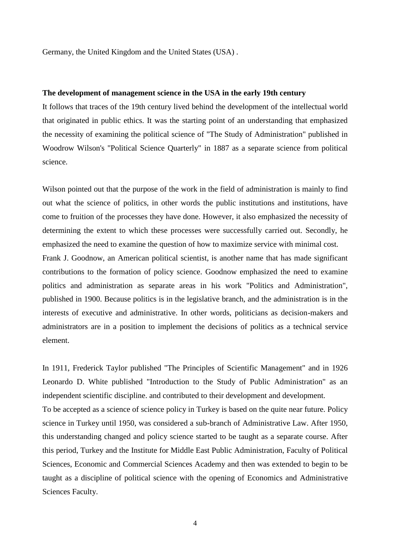Germany, the United Kingdom and the United States (USA) .

#### **The development of management science in the USA in the early 19th century**

It follows that traces of the 19th century lived behind the development of the intellectual world that originated in public ethics. It was the starting point of an understanding that emphasized the necessity of examining the political science of "The Study of Administration" published in Woodrow Wilson's "Political Science Quarterly" in 1887 as a separate science from political science.

Wilson pointed out that the purpose of the work in the field of administration is mainly to find out what the science of politics, in other words the public institutions and institutions, have come to fruition of the processes they have done. However, it also emphasized the necessity of determining the extent to which these processes were successfully carried out. Secondly, he emphasized the need to examine the question of how to maximize service with minimal cost.

Frank J. Goodnow, an American political scientist, is another name that has made significant contributions to the formation of policy science. Goodnow emphasized the need to examine politics and administration as separate areas in his work "Politics and Administration", published in 1900. Because politics is in the legislative branch, and the administration is in the interests of executive and administrative. In other words, politicians as decision-makers and administrators are in a position to implement the decisions of politics as a technical service element.

In 1911, Frederick Taylor published "The Principles of Scientific Management" and in 1926 Leonardo D. White published "Introduction to the Study of Public Administration" as an independent scientific discipline. and contributed to their development and development.

To be accepted as a science of science policy in Turkey is based on the quite near future. Policy science in Turkey until 1950, was considered a sub-branch of Administrative Law. After 1950, this understanding changed and policy science started to be taught as a separate course. After this period, Turkey and the Institute for Middle East Public Administration, Faculty of Political Sciences, Economic and Commercial Sciences Academy and then was extended to begin to be taught as a discipline of political science with the opening of Economics and Administrative Sciences Faculty.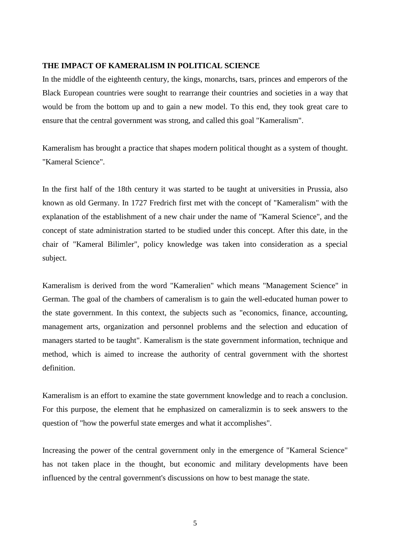#### **THE IMPACT OF KAMERALISM IN POLITICAL SCIENCE**

In the middle of the eighteenth century, the kings, monarchs, tsars, princes and emperors of the Black European countries were sought to rearrange their countries and societies in a way that would be from the bottom up and to gain a new model. To this end, they took great care to ensure that the central government was strong, and called this goal "Kameralism".

Kameralism has brought a practice that shapes modern political thought as a system of thought. "Kameral Science".

In the first half of the 18th century it was started to be taught at universities in Prussia, also known as old Germany. In 1727 Fredrich first met with the concept of "Kameralism" with the explanation of the establishment of a new chair under the name of "Kameral Science", and the concept of state administration started to be studied under this concept. After this date, in the chair of "Kameral Bilimler", policy knowledge was taken into consideration as a special subject.

Kameralism is derived from the word "Kameralien" which means "Management Science" in German. The goal of the chambers of cameralism is to gain the well-educated human power to the state government. In this context, the subjects such as "economics, finance, accounting, management arts, organization and personnel problems and the selection and education of managers started to be taught". Kameralism is the state government information, technique and method, which is aimed to increase the authority of central government with the shortest definition.

Kameralism is an effort to examine the state government knowledge and to reach a conclusion. For this purpose, the element that he emphasized on cameralizmin is to seek answers to the question of "how the powerful state emerges and what it accomplishes".

Increasing the power of the central government only in the emergence of "Kameral Science" has not taken place in the thought, but economic and military developments have been influenced by the central government's discussions on how to best manage the state.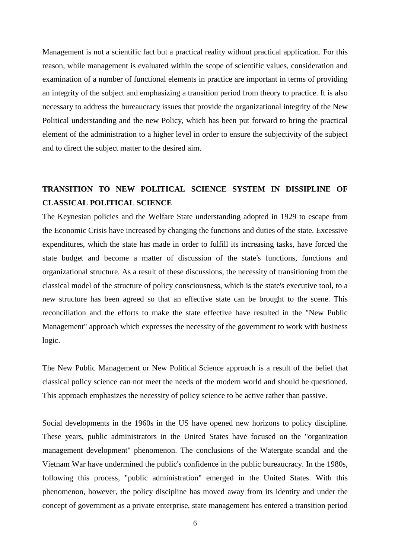Management is not a scientific fact but a practical reality without practical application. For this reason, while management is evaluated within the scope of scientific values, consideration and examination of a number of functional elements in practice are important in terms of providing an integrity of the subject and emphasizing a transition period from theory to practice. It is also necessary to address the bureaucracy issues that provide the organizational integrity of the New Political understanding and the new Policy, which has been put forward to bring the practical element of the administration to a higher level in order to ensure the subjectivity of the subject and to direct the subject matter to the desired aim.

### **TRANSITION TO NEW POLITICAL SCIENCE SYSTEM IN DISSIPLINE OF CLASSICAL POLITICAL SCIENCE**

The Keynesian policies and the Welfare State understanding adopted in 1929 to escape from the Economic Crisis have increased by changing the functions and duties of the state. Excessive expenditures, which the state has made in order to fulfill its increasing tasks, have forced the state budget and become a matter of discussion of the state's functions, functions and organizational structure. As a result of these discussions, the necessity of transitioning from the classical model of the structure of policy consciousness, which is the state's executive tool, to a new structure has been agreed so that an effective state can be brought to the scene. This reconciliation and the efforts to make the state effective have resulted in the "New Public Management" approach which expresses the necessity of the government to work with business logic.

The New Public Management or New Political Science approach is a result of the belief that classical policy science can not meet the needs of the modern world and should be questioned. This approach emphasizes the necessity of policy science to be active rather than passive.

Social developments in the 1960s in the US have opened new horizons to policy discipline. These years, public administrators in the United States have focused on the "organization management development" phenomenon. The conclusions of the Watergate scandal and the Vietnam War have undermined the public's confidence in the public bureaucracy. In the 1980s, following this process, "public administration" emerged in the United States. With this phenomenon, however, the policy discipline has moved away from its identity and under the concept of government as a private enterprise, state management has entered a transition period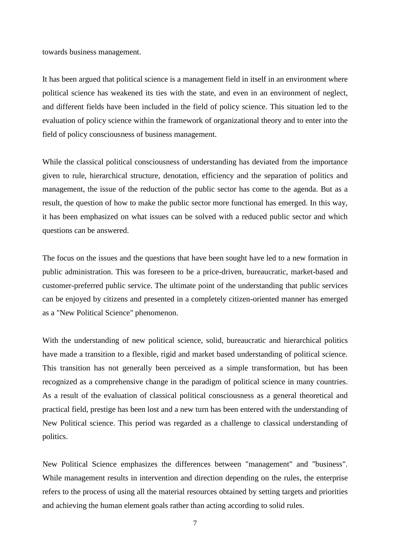towards business management.

It has been argued that political science is a management field in itself in an environment where political science has weakened its ties with the state, and even in an environment of neglect, and different fields have been included in the field of policy science. This situation led to the evaluation of policy science within the framework of organizational theory and to enter into the field of policy consciousness of business management.

While the classical political consciousness of understanding has deviated from the importance given to rule, hierarchical structure, denotation, efficiency and the separation of politics and management, the issue of the reduction of the public sector has come to the agenda. But as a result, the question of how to make the public sector more functional has emerged. In this way, it has been emphasized on what issues can be solved with a reduced public sector and which questions can be answered.

The focus on the issues and the questions that have been sought have led to a new formation in public administration. This was foreseen to be a price-driven, bureaucratic, market-based and customer-preferred public service. The ultimate point of the understanding that public services can be enjoyed by citizens and presented in a completely citizen-oriented manner has emerged as a "New Political Science" phenomenon.

With the understanding of new political science, solid, bureaucratic and hierarchical politics have made a transition to a flexible, rigid and market based understanding of political science. This transition has not generally been perceived as a simple transformation, but has been recognized as a comprehensive change in the paradigm of political science in many countries. As a result of the evaluation of classical political consciousness as a general theoretical and practical field, prestige has been lost and a new turn has been entered with the understanding of New Political science. This period was regarded as a challenge to classical understanding of politics.

New Political Science emphasizes the differences between "management" and "business". While management results in intervention and direction depending on the rules, the enterprise refers to the process of using all the material resources obtained by setting targets and priorities and achieving the human element goals rather than acting according to solid rules.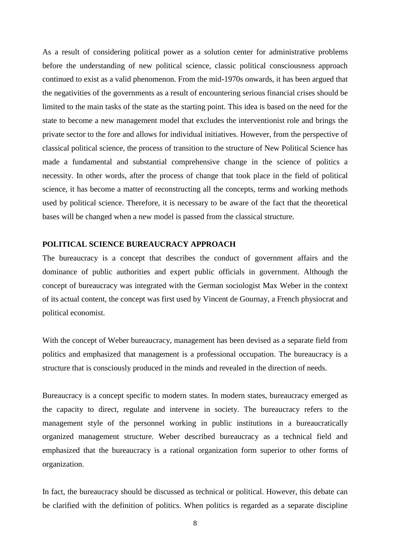As a result of considering political power as a solution center for administrative problems before the understanding of new political science, classic political consciousness approach continued to exist as a valid phenomenon. From the mid-1970s onwards, it has been argued that the negativities of the governments as a result of encountering serious financial crises should be limited to the main tasks of the state as the starting point. This idea is based on the need for the state to become a new management model that excludes the interventionist role and brings the private sector to the fore and allows for individual initiatives. However, from the perspective of classical political science, the process of transition to the structure of New Political Science has made a fundamental and substantial comprehensive change in the science of politics a necessity. In other words, after the process of change that took place in the field of political science, it has become a matter of reconstructing all the concepts, terms and working methods used by political science. Therefore, it is necessary to be aware of the fact that the theoretical bases will be changed when a new model is passed from the classical structure.

#### **POLITICAL SCIENCE BUREAUCRACY APPROACH**

The bureaucracy is a concept that describes the conduct of government affairs and the dominance of public authorities and expert public officials in government. Although the concept of bureaucracy was integrated with the German sociologist Max Weber in the context of its actual content, the concept was first used by Vincent de Gournay, a French physiocrat and political economist.

With the concept of Weber bureaucracy, management has been devised as a separate field from politics and emphasized that management is a professional occupation. The bureaucracy is a structure that is consciously produced in the minds and revealed in the direction of needs.

Bureaucracy is a concept specific to modern states. In modern states, bureaucracy emerged as the capacity to direct, regulate and intervene in society. The bureaucracy refers to the management style of the personnel working in public institutions in a bureaucratically organized management structure. Weber described bureaucracy as a technical field and emphasized that the bureaucracy is a rational organization form superior to other forms of organization.

In fact, the bureaucracy should be discussed as technical or political. However, this debate can be clarified with the definition of politics. When politics is regarded as a separate discipline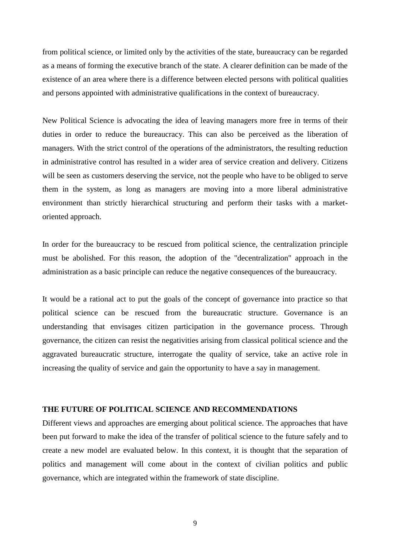from political science, or limited only by the activities of the state, bureaucracy can be regarded as a means of forming the executive branch of the state. A clearer definition can be made of the existence of an area where there is a difference between elected persons with political qualities and persons appointed with administrative qualifications in the context of bureaucracy.

New Political Science is advocating the idea of leaving managers more free in terms of their duties in order to reduce the bureaucracy. This can also be perceived as the liberation of managers. With the strict control of the operations of the administrators, the resulting reduction in administrative control has resulted in a wider area of service creation and delivery. Citizens will be seen as customers deserving the service, not the people who have to be obliged to serve them in the system, as long as managers are moving into a more liberal administrative environment than strictly hierarchical structuring and perform their tasks with a marketoriented approach.

In order for the bureaucracy to be rescued from political science, the centralization principle must be abolished. For this reason, the adoption of the "decentralization" approach in the administration as a basic principle can reduce the negative consequences of the bureaucracy.

It would be a rational act to put the goals of the concept of governance into practice so that political science can be rescued from the bureaucratic structure. Governance is an understanding that envisages citizen participation in the governance process. Through governance, the citizen can resist the negativities arising from classical political science and the aggravated bureaucratic structure, interrogate the quality of service, take an active role in increasing the quality of service and gain the opportunity to have a say in management.

#### **THE FUTURE OF POLITICAL SCIENCE AND RECOMMENDATIONS**

Different views and approaches are emerging about political science. The approaches that have been put forward to make the idea of the transfer of political science to the future safely and to create a new model are evaluated below. In this context, it is thought that the separation of politics and management will come about in the context of civilian politics and public governance, which are integrated within the framework of state discipline.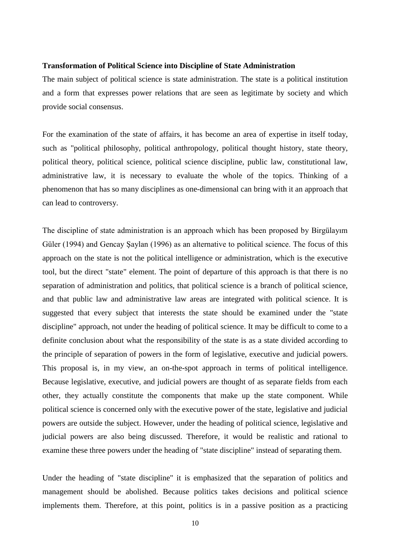#### **Transformation of Political Science into Discipline of State Administration**

The main subject of political science is state administration. The state is a political institution and a form that expresses power relations that are seen as legitimate by society and which provide social consensus.

For the examination of the state of affairs, it has become an area of expertise in itself today, such as "political philosophy, political anthropology, political thought history, state theory, political theory, political science, political science discipline, public law, constitutional law, administrative law, it is necessary to evaluate the whole of the topics. Thinking of a phenomenon that has so many disciplines as one-dimensional can bring with it an approach that can lead to controversy.

The discipline of state administration is an approach which has been proposed by Birgülayım Güler (1994) and Gencay Şaylan (1996) as an alternative to political science. The focus of this approach on the state is not the political intelligence or administration, which is the executive tool, but the direct "state" element. The point of departure of this approach is that there is no separation of administration and politics, that political science is a branch of political science, and that public law and administrative law areas are integrated with political science. It is suggested that every subject that interests the state should be examined under the "state discipline" approach, not under the heading of political science. It may be difficult to come to a definite conclusion about what the responsibility of the state is as a state divided according to the principle of separation of powers in the form of legislative, executive and judicial powers. This proposal is, in my view, an on-the-spot approach in terms of political intelligence. Because legislative, executive, and judicial powers are thought of as separate fields from each other, they actually constitute the components that make up the state component. While political science is concerned only with the executive power of the state, legislative and judicial powers are outside the subject. However, under the heading of political science, legislative and judicial powers are also being discussed. Therefore, it would be realistic and rational to examine these three powers under the heading of "state discipline" instead of separating them.

Under the heading of "state discipline" it is emphasized that the separation of politics and management should be abolished. Because politics takes decisions and political science implements them. Therefore, at this point, politics is in a passive position as a practicing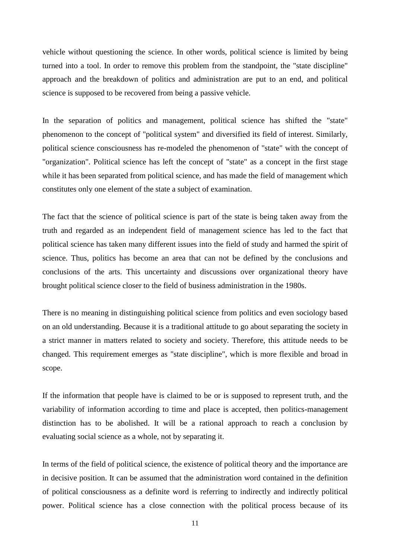vehicle without questioning the science. In other words, political science is limited by being turned into a tool. In order to remove this problem from the standpoint, the "state discipline" approach and the breakdown of politics and administration are put to an end, and political science is supposed to be recovered from being a passive vehicle.

In the separation of politics and management, political science has shifted the "state" phenomenon to the concept of "political system" and diversified its field of interest. Similarly, political science consciousness has re-modeled the phenomenon of "state" with the concept of "organization". Political science has left the concept of "state" as a concept in the first stage while it has been separated from political science, and has made the field of management which constitutes only one element of the state a subject of examination.

The fact that the science of political science is part of the state is being taken away from the truth and regarded as an independent field of management science has led to the fact that political science has taken many different issues into the field of study and harmed the spirit of science. Thus, politics has become an area that can not be defined by the conclusions and conclusions of the arts. This uncertainty and discussions over organizational theory have brought political science closer to the field of business administration in the 1980s.

There is no meaning in distinguishing political science from politics and even sociology based on an old understanding. Because it is a traditional attitude to go about separating the society in a strict manner in matters related to society and society. Therefore, this attitude needs to be changed. This requirement emerges as "state discipline", which is more flexible and broad in scope.

If the information that people have is claimed to be or is supposed to represent truth, and the variability of information according to time and place is accepted, then politics-management distinction has to be abolished. It will be a rational approach to reach a conclusion by evaluating social science as a whole, not by separating it.

In terms of the field of political science, the existence of political theory and the importance are in decisive position. It can be assumed that the administration word contained in the definition of political consciousness as a definite word is referring to indirectly and indirectly political power. Political science has a close connection with the political process because of its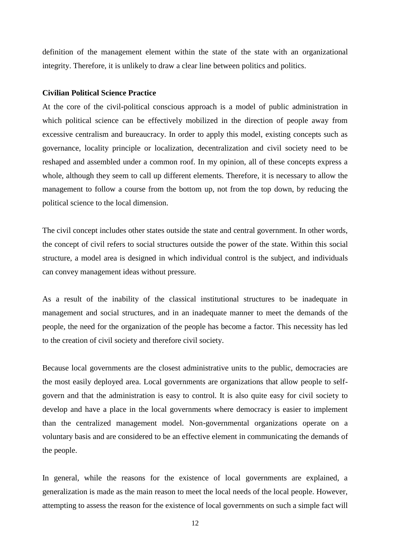definition of the management element within the state of the state with an organizational integrity. Therefore, it is unlikely to draw a clear line between politics and politics.

#### **Civilian Political Science Practice**

At the core of the civil-political conscious approach is a model of public administration in which political science can be effectively mobilized in the direction of people away from excessive centralism and bureaucracy. In order to apply this model, existing concepts such as governance, locality principle or localization, decentralization and civil society need to be reshaped and assembled under a common roof. In my opinion, all of these concepts express a whole, although they seem to call up different elements. Therefore, it is necessary to allow the management to follow a course from the bottom up, not from the top down, by reducing the political science to the local dimension.

The civil concept includes other states outside the state and central government. In other words, the concept of civil refers to social structures outside the power of the state. Within this social structure, a model area is designed in which individual control is the subject, and individuals can convey management ideas without pressure.

As a result of the inability of the classical institutional structures to be inadequate in management and social structures, and in an inadequate manner to meet the demands of the people, the need for the organization of the people has become a factor. This necessity has led to the creation of civil society and therefore civil society.

Because local governments are the closest administrative units to the public, democracies are the most easily deployed area. Local governments are organizations that allow people to selfgovern and that the administration is easy to control. It is also quite easy for civil society to develop and have a place in the local governments where democracy is easier to implement than the centralized management model. Non-governmental organizations operate on a voluntary basis and are considered to be an effective element in communicating the demands of the people.

In general, while the reasons for the existence of local governments are explained, a generalization is made as the main reason to meet the local needs of the local people. However, attempting to assess the reason for the existence of local governments on such a simple fact will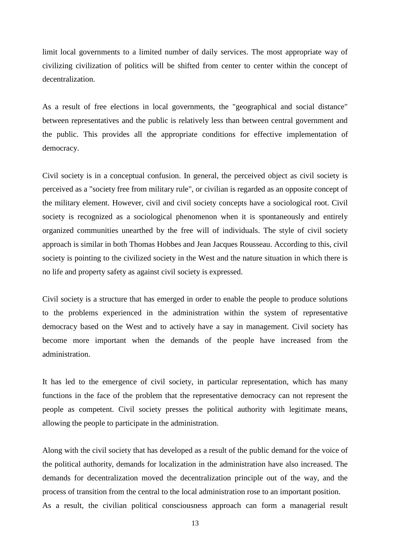limit local governments to a limited number of daily services. The most appropriate way of civilizing civilization of politics will be shifted from center to center within the concept of decentralization.

As a result of free elections in local governments, the "geographical and social distance" between representatives and the public is relatively less than between central government and the public. This provides all the appropriate conditions for effective implementation of democracy.

Civil society is in a conceptual confusion. In general, the perceived object as civil society is perceived as a "society free from military rule", or civilian is regarded as an opposite concept of the military element. However, civil and civil society concepts have a sociological root. Civil society is recognized as a sociological phenomenon when it is spontaneously and entirely organized communities unearthed by the free will of individuals. The style of civil society approach is similar in both Thomas Hobbes and Jean Jacques Rousseau. According to this, civil society is pointing to the civilized society in the West and the nature situation in which there is no life and property safety as against civil society is expressed.

Civil society is a structure that has emerged in order to enable the people to produce solutions to the problems experienced in the administration within the system of representative democracy based on the West and to actively have a say in management. Civil society has become more important when the demands of the people have increased from the administration.

It has led to the emergence of civil society, in particular representation, which has many functions in the face of the problem that the representative democracy can not represent the people as competent. Civil society presses the political authority with legitimate means, allowing the people to participate in the administration.

Along with the civil society that has developed as a result of the public demand for the voice of the political authority, demands for localization in the administration have also increased. The demands for decentralization moved the decentralization principle out of the way, and the process of transition from the central to the local administration rose to an important position. As a result, the civilian political consciousness approach can form a managerial result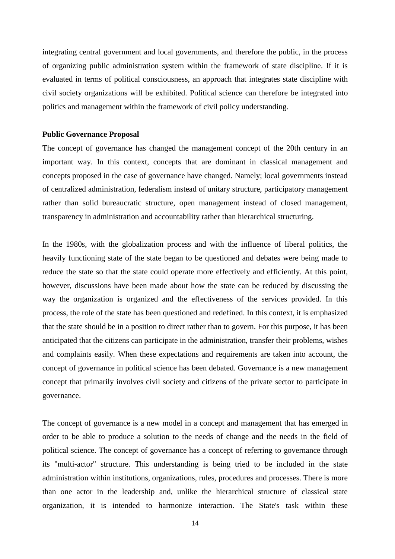integrating central government and local governments, and therefore the public, in the process of organizing public administration system within the framework of state discipline. If it is evaluated in terms of political consciousness, an approach that integrates state discipline with civil society organizations will be exhibited. Political science can therefore be integrated into politics and management within the framework of civil policy understanding.

#### **Public Governance Proposal**

The concept of governance has changed the management concept of the 20th century in an important way. In this context, concepts that are dominant in classical management and concepts proposed in the case of governance have changed. Namely; local governments instead of centralized administration, federalism instead of unitary structure, participatory management rather than solid bureaucratic structure, open management instead of closed management, transparency in administration and accountability rather than hierarchical structuring.

In the 1980s, with the globalization process and with the influence of liberal politics, the heavily functioning state of the state began to be questioned and debates were being made to reduce the state so that the state could operate more effectively and efficiently. At this point, however, discussions have been made about how the state can be reduced by discussing the way the organization is organized and the effectiveness of the services provided. In this process, the role of the state has been questioned and redefined. In this context, it is emphasized that the state should be in a position to direct rather than to govern. For this purpose, it has been anticipated that the citizens can participate in the administration, transfer their problems, wishes and complaints easily. When these expectations and requirements are taken into account, the concept of governance in political science has been debated. Governance is a new management concept that primarily involves civil society and citizens of the private sector to participate in governance.

The concept of governance is a new model in a concept and management that has emerged in order to be able to produce a solution to the needs of change and the needs in the field of political science. The concept of governance has a concept of referring to governance through its "multi-actor" structure. This understanding is being tried to be included in the state administration within institutions, organizations, rules, procedures and processes. There is more than one actor in the leadership and, unlike the hierarchical structure of classical state organization, it is intended to harmonize interaction. The State's task within these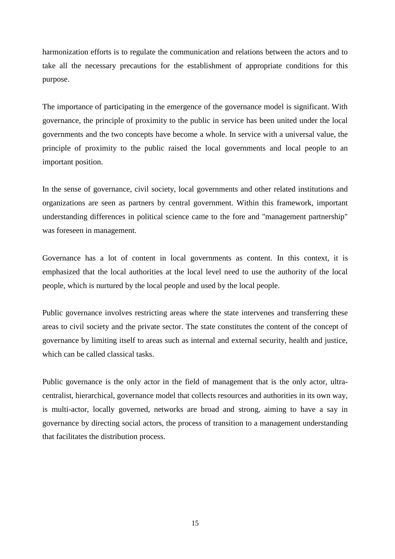harmonization efforts is to regulate the communication and relations between the actors and to take all the necessary precautions for the establishment of appropriate conditions for this purpose.

The importance of participating in the emergence of the governance model is significant. With governance, the principle of proximity to the public in service has been united under the local governments and the two concepts have become a whole. In service with a universal value, the principle of proximity to the public raised the local governments and local people to an important position.

In the sense of governance, civil society, local governments and other related institutions and organizations are seen as partners by central government. Within this framework, important understanding differences in political science came to the fore and "management partnership" was foreseen in management.

Governance has a lot of content in local governments as content. In this context, it is emphasized that the local authorities at the local level need to use the authority of the local people, which is nurtured by the local people and used by the local people.

Public governance involves restricting areas where the state intervenes and transferring these areas to civil society and the private sector. The state constitutes the content of the concept of governance by limiting itself to areas such as internal and external security, health and justice, which can be called classical tasks.

Public governance is the only actor in the field of management that is the only actor, ultracentralist, hierarchical, governance model that collects resources and authorities in its own way, is multi-actor, locally governed, networks are broad and strong, aiming to have a say in governance by directing social actors, the process of transition to a management understanding that facilitates the distribution process.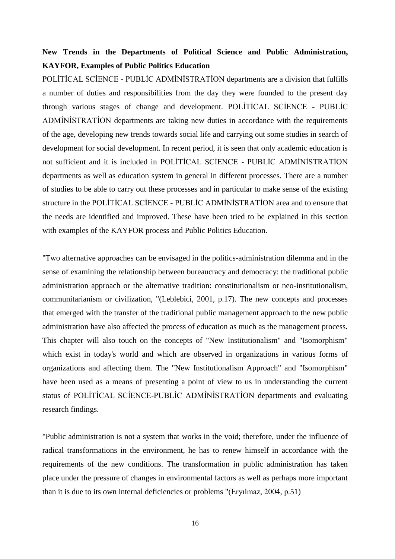## **New Trends in the Departments of Political Science and Public Administration, KAYFOR, Examples of Public Politics Education**

POLİTİCAL SCİENCE - PUBLİC ADMİNİSTRATİON departments are a division that fulfills a number of duties and responsibilities from the day they were founded to the present day through various stages of change and development. POLİTİCAL SCİENCE - PUBLİC ADMİNİSTRATİON departments are taking new duties in accordance with the requirements of the age, developing new trends towards social life and carrying out some studies in search of development for social development. In recent period, it is seen that only academic education is not sufficient and it is included in POLİTİCAL SCİENCE - PUBLİC ADMİNİSTRATİON departments as well as education system in general in different processes. There are a number of studies to be able to carry out these processes and in particular to make sense of the existing structure in the POLİTİCAL SCİENCE - PUBLİC ADMİNİSTRATİON area and to ensure that the needs are identified and improved. These have been tried to be explained in this section with examples of the KAYFOR process and Public Politics Education.

"Two alternative approaches can be envisaged in the politics-administration dilemma and in the sense of examining the relationship between bureaucracy and democracy: the traditional public administration approach or the alternative tradition: constitutionalism or neo-institutionalism, communitarianism or civilization, "(Leblebici, 2001, p.17). The new concepts and processes that emerged with the transfer of the traditional public management approach to the new public administration have also affected the process of education as much as the management process. This chapter will also touch on the concepts of "New Institutionalism" and "Isomorphism" which exist in today's world and which are observed in organizations in various forms of organizations and affecting them. The "New Institutionalism Approach" and "Isomorphism" have been used as a means of presenting a point of view to us in understanding the current status of POLİTİCAL SCİENCE-PUBLİC ADMİNİSTRATİON departments and evaluating research findings.

"Public administration is not a system that works in the void; therefore, under the influence of radical transformations in the environment, he has to renew himself in accordance with the requirements of the new conditions. The transformation in public administration has taken place under the pressure of changes in environmental factors as well as perhaps more important than it is due to its own internal deficiencies or problems "(Eryılmaz, 2004, p.51)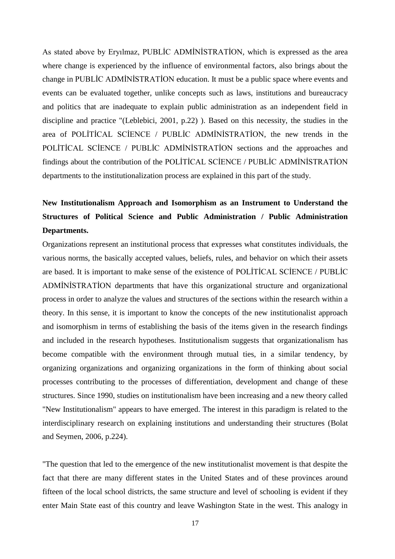As stated above by Eryılmaz, PUBLİC ADMİNİSTRATİON, which is expressed as the area where change is experienced by the influence of environmental factors, also brings about the change in PUBLİC ADMİNİSTRATİON education. It must be a public space where events and events can be evaluated together, unlike concepts such as laws, institutions and bureaucracy and politics that are inadequate to explain public administration as an independent field in discipline and practice "(Leblebici, 2001, p.22) ). Based on this necessity, the studies in the area of POLİTİCAL SCİENCE / PUBLİC ADMİNİSTRATİON, the new trends in the POLİTİCAL SCİENCE / PUBLİC ADMİNİSTRATİON sections and the approaches and findings about the contribution of the POLİTİCAL SCİENCE / PUBLİC ADMİNİSTRATİON departments to the institutionalization process are explained in this part of the study.

# **New Institutionalism Approach and Isomorphism as an Instrument to Understand the Structures of Political Science and Public Administration / Public Administration Departments.**

Organizations represent an institutional process that expresses what constitutes individuals, the various norms, the basically accepted values, beliefs, rules, and behavior on which their assets are based. It is important to make sense of the existence of POLİTİCAL SCİENCE / PUBLİC ADMİNİSTRATİON departments that have this organizational structure and organizational process in order to analyze the values and structures of the sections within the research within a theory. In this sense, it is important to know the concepts of the new institutionalist approach and isomorphism in terms of establishing the basis of the items given in the research findings and included in the research hypotheses. Institutionalism suggests that organizationalism has become compatible with the environment through mutual ties, in a similar tendency, by organizing organizations and organizing organizations in the form of thinking about social processes contributing to the processes of differentiation, development and change of these structures. Since 1990, studies on institutionalism have been increasing and a new theory called "New Institutionalism" appears to have emerged. The interest in this paradigm is related to the interdisciplinary research on explaining institutions and understanding their structures (Bolat and Seymen, 2006, p.224).

"The question that led to the emergence of the new institutionalist movement is that despite the fact that there are many different states in the United States and of these provinces around fifteen of the local school districts, the same structure and level of schooling is evident if they enter Main State east of this country and leave Washington State in the west. This analogy in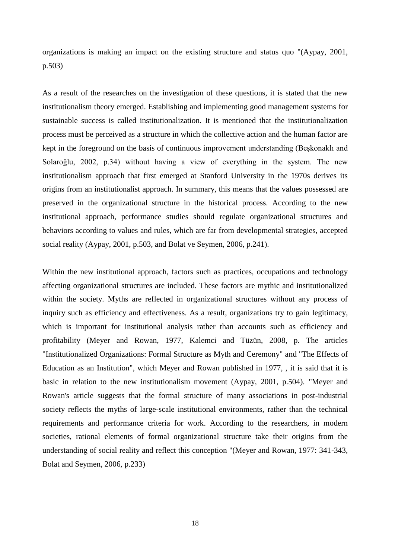organizations is making an impact on the existing structure and status quo "(Aypay, 2001, p.503)

As a result of the researches on the investigation of these questions, it is stated that the new institutionalism theory emerged. Establishing and implementing good management systems for sustainable success is called institutionalization. It is mentioned that the institutionalization process must be perceived as a structure in which the collective action and the human factor are kept in the foreground on the basis of continuous improvement understanding (Beşkonaklı and Solaroğlu, 2002, p.34) without having a view of everything in the system. The new institutionalism approach that first emerged at Stanford University in the 1970s derives its origins from an institutionalist approach. In summary, this means that the values possessed are preserved in the organizational structure in the historical process. According to the new institutional approach, performance studies should regulate organizational structures and behaviors according to values and rules, which are far from developmental strategies, accepted social reality (Aypay, 2001, p.503, and Bolat ve Seymen, 2006, p.241).

Within the new institutional approach, factors such as practices, occupations and technology affecting organizational structures are included. These factors are mythic and institutionalized within the society. Myths are reflected in organizational structures without any process of inquiry such as efficiency and effectiveness. As a result, organizations try to gain legitimacy, which is important for institutional analysis rather than accounts such as efficiency and profitability (Meyer and Rowan, 1977, Kalemci and Tüzün, 2008, p. The articles "Institutionalized Organizations: Formal Structure as Myth and Ceremony" and "The Effects of Education as an Institution", which Meyer and Rowan published in 1977, , it is said that it is basic in relation to the new institutionalism movement (Aypay, 2001, p.504). "Meyer and Rowan's article suggests that the formal structure of many associations in post-industrial society reflects the myths of large-scale institutional environments, rather than the technical requirements and performance criteria for work. According to the researchers, in modern societies, rational elements of formal organizational structure take their origins from the understanding of social reality and reflect this conception "(Meyer and Rowan, 1977: 341-343, Bolat and Seymen, 2006, p.233)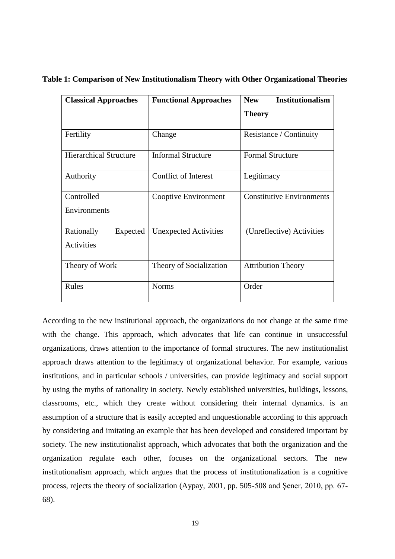| <b>Classical Approaches</b>   | <b>Functional Approaches</b> | <b>Institutionalism</b><br><b>New</b> |
|-------------------------------|------------------------------|---------------------------------------|
|                               |                              | <b>Theory</b>                         |
| Fertility                     | Change                       | Resistance / Continuity               |
| <b>Hierarchical Structure</b> | <b>Informal Structure</b>    | <b>Formal Structure</b>               |
| Authority                     | <b>Conflict of Interest</b>  | Legitimacy                            |
| Controlled                    | Cooptive Environment         | <b>Constitutive Environments</b>      |
| Environments                  |                              |                                       |
| Rationally<br>Expected        | <b>Unexpected Activities</b> | (Unreflective) Activities             |
| Activities                    |                              |                                       |
| Theory of Work                | Theory of Socialization      | <b>Attribution Theory</b>             |
| Rules                         | <b>Norms</b>                 | Order                                 |

**Table 1: Comparison of New Institutionalism Theory with Other Organizational Theories**

According to the new institutional approach, the organizations do not change at the same time with the change. This approach, which advocates that life can continue in unsuccessful organizations, draws attention to the importance of formal structures. The new institutionalist approach draws attention to the legitimacy of organizational behavior. For example, various institutions, and in particular schools / universities, can provide legitimacy and social support by using the myths of rationality in society. Newly established universities, buildings, lessons, classrooms, etc., which they create without considering their internal dynamics. is an assumption of a structure that is easily accepted and unquestionable according to this approach by considering and imitating an example that has been developed and considered important by society. The new institutionalist approach, which advocates that both the organization and the organization regulate each other, focuses on the organizational sectors. The new institutionalism approach, which argues that the process of institutionalization is a cognitive process, rejects the theory of socialization (Aypay, 2001, pp. 505-508 and Şener, 2010, pp. 67- 68).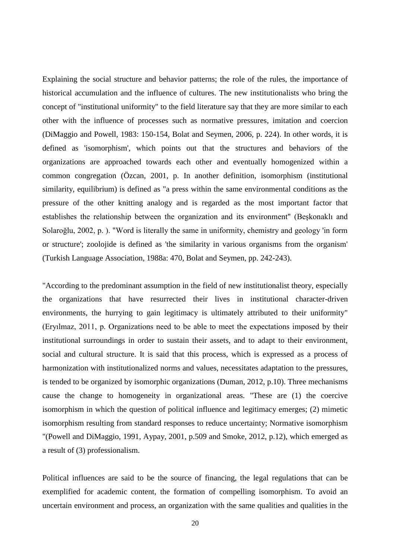Explaining the social structure and behavior patterns; the role of the rules, the importance of historical accumulation and the influence of cultures. The new institutionalists who bring the concept of "institutional uniformity" to the field literature say that they are more similar to each other with the influence of processes such as normative pressures, imitation and coercion (DiMaggio and Powell, 1983: 150-154, Bolat and Seymen, 2006, p. 224). In other words, it is defined as 'isomorphism', which points out that the structures and behaviors of the organizations are approached towards each other and eventually homogenized within a common congregation (Özcan, 2001, p. In another definition, isomorphism (institutional similarity, equilibrium) is defined as "a press within the same environmental conditions as the pressure of the other knitting analogy and is regarded as the most important factor that establishes the relationship between the organization and its environment" (Beşkonaklı and Solaroğlu, 2002, p. ). "Word is literally the same in uniformity, chemistry and geology 'in form or structure'; zoolojide is defined as 'the similarity in various organisms from the organism' (Turkish Language Association, 1988a: 470, Bolat and Seymen, pp. 242-243).

"According to the predominant assumption in the field of new institutionalist theory, especially the organizations that have resurrected their lives in institutional character-driven environments, the hurrying to gain legitimacy is ultimately attributed to their uniformity" (Eryılmaz, 2011, p. Organizations need to be able to meet the expectations imposed by their institutional surroundings in order to sustain their assets, and to adapt to their environment, social and cultural structure. It is said that this process, which is expressed as a process of harmonization with institutionalized norms and values, necessitates adaptation to the pressures, is tended to be organized by isomorphic organizations (Duman, 2012, p.10). Three mechanisms cause the change to homogeneity in organizational areas. "These are (1) the coercive isomorphism in which the question of political influence and legitimacy emerges; (2) mimetic isomorphism resulting from standard responses to reduce uncertainty; Normative isomorphism "(Powell and DiMaggio, 1991, Aypay, 2001, p.509 and Smoke, 2012, p.12), which emerged as a result of (3) professionalism.

Political influences are said to be the source of financing, the legal regulations that can be exemplified for academic content, the formation of compelling isomorphism. To avoid an uncertain environment and process, an organization with the same qualities and qualities in the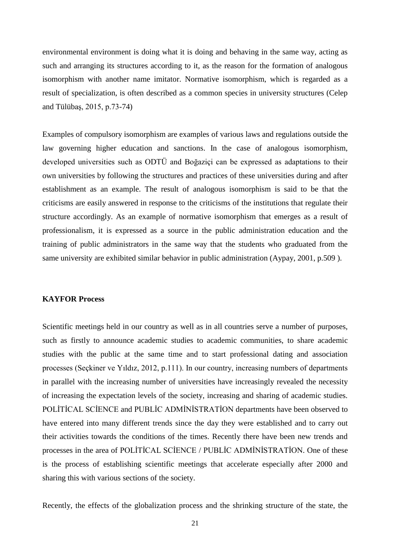environmental environment is doing what it is doing and behaving in the same way, acting as such and arranging its structures according to it, as the reason for the formation of analogous isomorphism with another name imitator. Normative isomorphism, which is regarded as a result of specialization, is often described as a common species in university structures (Celep and Tülübaş, 2015, p.73-74)

Examples of compulsory isomorphism are examples of various laws and regulations outside the law governing higher education and sanctions. In the case of analogous isomorphism, developed universities such as ODTÜ and Boğaziçi can be expressed as adaptations to their own universities by following the structures and practices of these universities during and after establishment as an example. The result of analogous isomorphism is said to be that the criticisms are easily answered in response to the criticisms of the institutions that regulate their structure accordingly. As an example of normative isomorphism that emerges as a result of professionalism, it is expressed as a source in the public administration education and the training of public administrators in the same way that the students who graduated from the same university are exhibited similar behavior in public administration (Aypay, 2001, p.509 ).

#### **KAYFOR Process**

Scientific meetings held in our country as well as in all countries serve a number of purposes, such as firstly to announce academic studies to academic communities, to share academic studies with the public at the same time and to start professional dating and association processes (Seçkiner ve Yıldız, 2012, p.111). In our country, increasing numbers of departments in parallel with the increasing number of universities have increasingly revealed the necessity of increasing the expectation levels of the society, increasing and sharing of academic studies. POLİTİCAL SCİENCE and PUBLİC ADMİNİSTRATİON departments have been observed to have entered into many different trends since the day they were established and to carry out their activities towards the conditions of the times. Recently there have been new trends and processes in the area of POLİTİCAL SCİENCE / PUBLİC ADMİNİSTRATİON. One of these is the process of establishing scientific meetings that accelerate especially after 2000 and sharing this with various sections of the society.

Recently, the effects of the globalization process and the shrinking structure of the state, the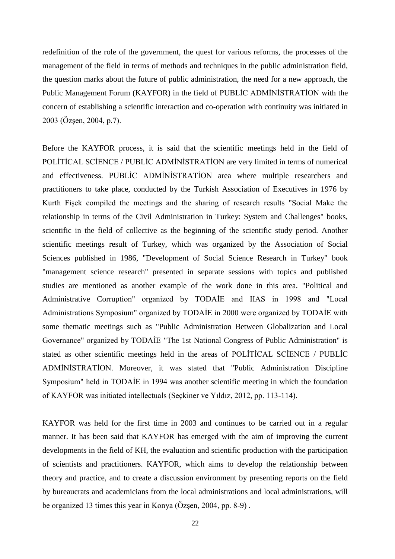redefinition of the role of the government, the quest for various reforms, the processes of the management of the field in terms of methods and techniques in the public administration field, the question marks about the future of public administration, the need for a new approach, the Public Management Forum (KAYFOR) in the field of PUBLİC ADMİNİSTRATİON with the concern of establishing a scientific interaction and co-operation with continuity was initiated in 2003 (Özşen, 2004, p.7).

Before the KAYFOR process, it is said that the scientific meetings held in the field of POLİTİCAL SCİENCE / PUBLİC ADMİNİSTRATİON are very limited in terms of numerical and effectiveness. PUBLİC ADMİNİSTRATİON area where multiple researchers and practitioners to take place, conducted by the Turkish Association of Executives in 1976 by Kurth Fişek compiled the meetings and the sharing of research results "Social Make the relationship in terms of the Civil Administration in Turkey: System and Challenges" books, scientific in the field of collective as the beginning of the scientific study period. Another scientific meetings result of Turkey, which was organized by the Association of Social Sciences published in 1986, "Development of Social Science Research in Turkey" book "management science research" presented in separate sessions with topics and published studies are mentioned as another example of the work done in this area. "Political and Administrative Corruption" organized by TODAİE and IIAS in 1998 and "Local Administrations Symposium" organized by TODAİE in 2000 were organized by TODAİE with some thematic meetings such as "Public Administration Between Globalization and Local Governance" organized by TODAİE "The 1st National Congress of Public Administration" is stated as other scientific meetings held in the areas of POLİTİCAL SCİENCE / PUBLİC ADMİNİSTRATİON. Moreover, it was stated that "Public Administration Discipline Symposium" held in TODAİE in 1994 was another scientific meeting in which the foundation of KAYFOR was initiated intellectuals (Seçkiner ve Yıldız, 2012, pp. 113-114).

KAYFOR was held for the first time in 2003 and continues to be carried out in a regular manner. It has been said that KAYFOR has emerged with the aim of improving the current developments in the field of KH, the evaluation and scientific production with the participation of scientists and practitioners. KAYFOR, which aims to develop the relationship between theory and practice, and to create a discussion environment by presenting reports on the field by bureaucrats and academicians from the local administrations and local administrations, will be organized 13 times this year in Konya (Özşen, 2004, pp. 8-9) .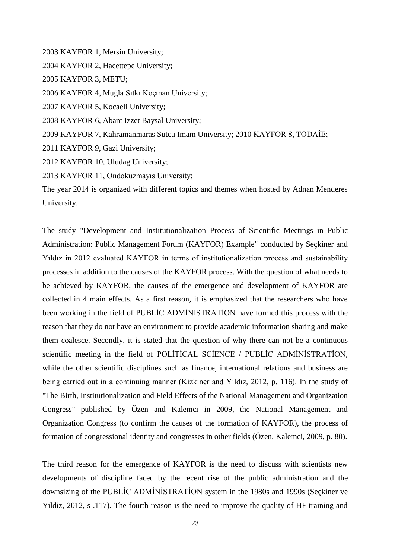2003 KAYFOR 1, Mersin University; 2004 KAYFOR 2, Hacettepe University; 2005 KAYFOR 3, METU; 2006 KAYFOR 4, Muğla Sıtkı Koçman University; 2007 KAYFOR 5, Kocaeli University; 2008 KAYFOR 6, Abant Izzet Baysal University; 2009 KAYFOR 7, Kahramanmaras Sutcu Imam University; 2010 KAYFOR 8, TODAİE; 2011 KAYFOR 9, Gazi University; 2012 KAYFOR 10, Uludag University; 2013 KAYFOR 11, Ondokuzmayıs University; The year 2014 is organized with different topics and themes when hosted by Adnan Menderes

University.

The study "Development and Institutionalization Process of Scientific Meetings in Public Administration: Public Management Forum (KAYFOR) Example" conducted by Seçkiner and Yıldız in 2012 evaluated KAYFOR in terms of institutionalization process and sustainability processes in addition to the causes of the KAYFOR process. With the question of what needs to be achieved by KAYFOR, the causes of the emergence and development of KAYFOR are collected in 4 main effects. As a first reason, it is emphasized that the researchers who have been working in the field of PUBLİC ADMİNİSTRATİON have formed this process with the reason that they do not have an environment to provide academic information sharing and make them coalesce. Secondly, it is stated that the question of why there can not be a continuous scientific meeting in the field of POLİTİCAL SCİENCE / PUBLİC ADMİNİSTRATİON, while the other scientific disciplines such as finance, international relations and business are being carried out in a continuing manner (Kizkiner and Yıldız, 2012, p. 116). In the study of "The Birth, Institutionalization and Field Effects of the National Management and Organization Congress" published by Özen and Kalemci in 2009, the National Management and Organization Congress (to confirm the causes of the formation of KAYFOR), the process of formation of congressional identity and congresses in other fields (Özen, Kalemci, 2009, p. 80).

The third reason for the emergence of KAYFOR is the need to discuss with scientists new developments of discipline faced by the recent rise of the public administration and the downsizing of the PUBLİC ADMİNİSTRATİON system in the 1980s and 1990s (Seçkiner ve Yildiz, 2012, s .117). The fourth reason is the need to improve the quality of HF training and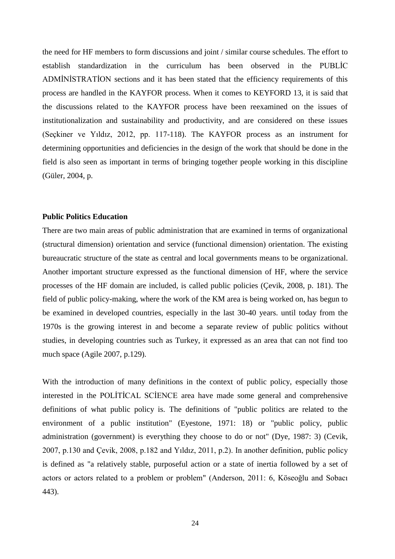the need for HF members to form discussions and joint / similar course schedules. The effort to establish standardization in the curriculum has been observed in the PUBLİC ADMİNİSTRATİON sections and it has been stated that the efficiency requirements of this process are handled in the KAYFOR process. When it comes to KEYFORD 13, it is said that the discussions related to the KAYFOR process have been reexamined on the issues of institutionalization and sustainability and productivity, and are considered on these issues (Seçkiner ve Yıldız, 2012, pp. 117-118). The KAYFOR process as an instrument for determining opportunities and deficiencies in the design of the work that should be done in the field is also seen as important in terms of bringing together people working in this discipline (Güler, 2004, p.

#### **Public Politics Education**

There are two main areas of public administration that are examined in terms of organizational (structural dimension) orientation and service (functional dimension) orientation. The existing bureaucratic structure of the state as central and local governments means to be organizational. Another important structure expressed as the functional dimension of HF, where the service processes of the HF domain are included, is called public policies (Çevik, 2008, p. 181). The field of public policy-making, where the work of the KM area is being worked on, has begun to be examined in developed countries, especially in the last 30-40 years. until today from the 1970s is the growing interest in and become a separate review of public politics without studies, in developing countries such as Turkey, it expressed as an area that can not find too much space (Agile 2007, p.129).

With the introduction of many definitions in the context of public policy, especially those interested in the POLİTİCAL SCİENCE area have made some general and comprehensive definitions of what public policy is. The definitions of "public politics are related to the environment of a public institution" (Eyestone, 1971: 18) or "public policy, public administration (government) is everything they choose to do or not" (Dye, 1987: 3) (Cevik, 2007, p.130 and Çevik, 2008, p.182 and Yıldız, 2011, p.2). In another definition, public policy is defined as "a relatively stable, purposeful action or a state of inertia followed by a set of actors or actors related to a problem or problem" (Anderson, 2011: 6, Köseoğlu and Sobacı 443).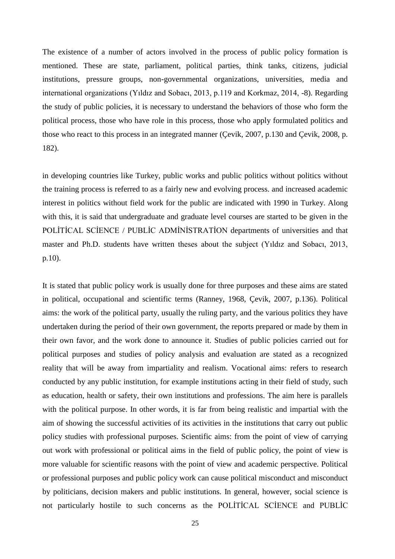The existence of a number of actors involved in the process of public policy formation is mentioned. These are state, parliament, political parties, think tanks, citizens, judicial institutions, pressure groups, non-governmental organizations, universities, media and international organizations (Yıldız and Sobacı, 2013, p.119 and Korkmaz, 2014, -8). Regarding the study of public policies, it is necessary to understand the behaviors of those who form the political process, those who have role in this process, those who apply formulated politics and those who react to this process in an integrated manner (Çevik, 2007, p.130 and Çevik, 2008, p. 182).

in developing countries like Turkey, public works and public politics without politics without the training process is referred to as a fairly new and evolving process. and increased academic interest in politics without field work for the public are indicated with 1990 in Turkey. Along with this, it is said that undergraduate and graduate level courses are started to be given in the POLİTİCAL SCİENCE / PUBLİC ADMİNİSTRATİON departments of universities and that master and Ph.D. students have written theses about the subject (Yıldız and Sobacı, 2013, p.10).

It is stated that public policy work is usually done for three purposes and these aims are stated in political, occupational and scientific terms (Ranney, 1968, Çevik, 2007, p.136). Political aims: the work of the political party, usually the ruling party, and the various politics they have undertaken during the period of their own government, the reports prepared or made by them in their own favor, and the work done to announce it. Studies of public policies carried out for political purposes and studies of policy analysis and evaluation are stated as a recognized reality that will be away from impartiality and realism. Vocational aims: refers to research conducted by any public institution, for example institutions acting in their field of study, such as education, health or safety, their own institutions and professions. The aim here is parallels with the political purpose. In other words, it is far from being realistic and impartial with the aim of showing the successful activities of its activities in the institutions that carry out public policy studies with professional purposes. Scientific aims: from the point of view of carrying out work with professional or political aims in the field of public policy, the point of view is more valuable for scientific reasons with the point of view and academic perspective. Political or professional purposes and public policy work can cause political misconduct and misconduct by politicians, decision makers and public institutions. In general, however, social science is not particularly hostile to such concerns as the POLİTİCAL SCİENCE and PUBLİC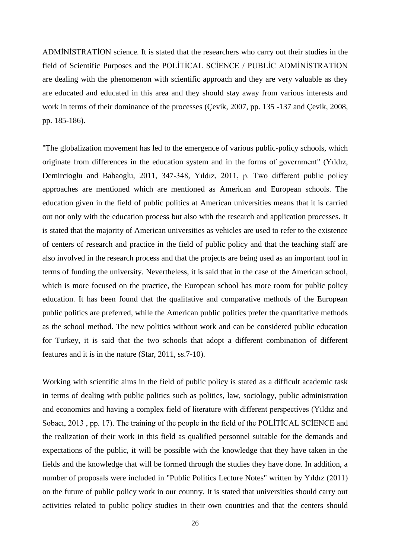ADMİNİSTRATİON science. It is stated that the researchers who carry out their studies in the field of Scientific Purposes and the POLİTİCAL SCİENCE / PUBLİC ADMİNİSTRATİON are dealing with the phenomenon with scientific approach and they are very valuable as they are educated and educated in this area and they should stay away from various interests and work in terms of their dominance of the processes (Çevik, 2007, pp. 135 -137 and Çevik, 2008, pp. 185-186).

"The globalization movement has led to the emergence of various public-policy schools, which originate from differences in the education system and in the forms of government" (Yıldız, Demircioglu and Babaoglu, 2011, 347-348, Yıldız, 2011, p. Two different public policy approaches are mentioned which are mentioned as American and European schools. The education given in the field of public politics at American universities means that it is carried out not only with the education process but also with the research and application processes. It is stated that the majority of American universities as vehicles are used to refer to the existence of centers of research and practice in the field of public policy and that the teaching staff are also involved in the research process and that the projects are being used as an important tool in terms of funding the university. Nevertheless, it is said that in the case of the American school, which is more focused on the practice, the European school has more room for public policy education. It has been found that the qualitative and comparative methods of the European public politics are preferred, while the American public politics prefer the quantitative methods as the school method. The new politics without work and can be considered public education for Turkey, it is said that the two schools that adopt a different combination of different features and it is in the nature (Star, 2011, ss.7-10).

Working with scientific aims in the field of public policy is stated as a difficult academic task in terms of dealing with public politics such as politics, law, sociology, public administration and economics and having a complex field of literature with different perspectives (Yıldız and Sobacı, 2013, pp. 17). The training of the people in the field of the POLITICAL SCIENCE and the realization of their work in this field as qualified personnel suitable for the demands and expectations of the public, it will be possible with the knowledge that they have taken in the fields and the knowledge that will be formed through the studies they have done. In addition, a number of proposals were included in "Public Politics Lecture Notes" written by Yıldız (2011) on the future of public policy work in our country. It is stated that universities should carry out activities related to public policy studies in their own countries and that the centers should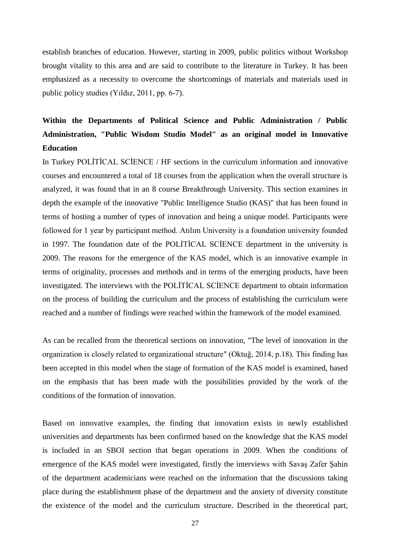establish branches of education. However, starting in 2009, public politics without Workshop brought vitality to this area and are said to contribute to the literature in Turkey. It has been emphasized as a necessity to overcome the shortcomings of materials and materials used in public policy studies (Yıldız, 2011, pp. 6-7).

# **Within the Departments of Political Science and Public Administration / Public Administration, "Public Wisdom Studio Model" as an original model in Innovative Education**

In Turkey POLİTİCAL SCİENCE / HF sections in the curriculum information and innovative courses and encountered a total of 18 courses from the application when the overall structure is analyzed, it was found that in an 8 course Breakthrough University. This section examines in depth the example of the innovative "Public Intelligence Studio (KAS)" that has been found in terms of hosting a number of types of innovation and being a unique model. Participants were followed for 1 year by participant method. Atılım University is a foundation university founded in 1997. The foundation date of the POLİTİCAL SCİENCE department in the university is 2009. The reasons for the emergence of the KAS model, which is an innovative example in terms of originality, processes and methods and in terms of the emerging products, have been investigated. The interviews with the POLİTİCAL SCİENCE department to obtain information on the process of building the curriculum and the process of establishing the curriculum were reached and a number of findings were reached within the framework of the model examined.

As can be recalled from the theoretical sections on innovation, "The level of innovation in the organization is closely related to organizational structure" (Oktuğ, 2014, p.18). This finding has been accepted in this model when the stage of formation of the KAS model is examined, based on the emphasis that has been made with the possibilities provided by the work of the conditions of the formation of innovation.

Based on innovative examples, the finding that innovation exists in newly established universities and departments has been confirmed based on the knowledge that the KAS model is included in an SBOI section that began operations in 2009. When the conditions of emergence of the KAS model were investigated, firstly the interviews with Savaş Zafer Şahin of the department academicians were reached on the information that the discussions taking place during the establishment phase of the department and the anxiety of diversity constitute the existence of the model and the curriculum structure. Described in the theoretical part,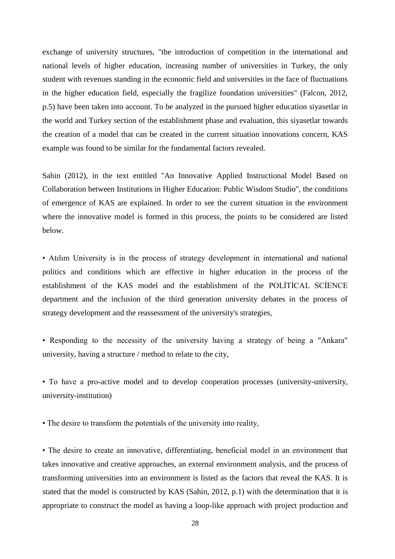exchange of university structures, "the introduction of competition in the international and national levels of higher education, increasing number of universities in Turkey, the only student with revenues standing in the economic field and universities in the face of fluctuations in the higher education field, especially the fragilize foundation universities" (Falcon, 2012, p.5) have been taken into account. To be analyzed in the pursued higher education siyasetlar in the world and Turkey section of the establishment phase and evaluation, this siyasetlar towards the creation of a model that can be created in the current situation innovations concern, KAS example was found to be similar for the fundamental factors revealed.

Sahin (2012), in the text entitled "An Innovative Applied Instructional Model Based on Collaboration between Institutions in Higher Education: Public Wisdom Studio", the conditions of emergence of KAS are explained. In order to see the current situation in the environment where the innovative model is formed in this process, the points to be considered are listed below.

• Atılım University is in the process of strategy development in international and national politics and conditions which are effective in higher education in the process of the establishment of the KAS model and the establishment of the POLİTİCAL SCİENCE department and the inclusion of the third generation university debates in the process of strategy development and the reassessment of the university's strategies,

• Responding to the necessity of the university having a strategy of being a "Ankara" university, having a structure / method to relate to the city,

• To have a pro-active model and to develop cooperation processes (university-university, university-institution)

• The desire to transform the potentials of the university into reality,

• The desire to create an innovative, differentiating, beneficial model in an environment that takes innovative and creative approaches, an external environment analysis, and the process of transforming universities into an environment is listed as the factors that reveal the KAS. It is stated that the model is constructed by KAS (Sahin, 2012, p.1) with the determination that it is appropriate to construct the model as having a loop-like approach with project production and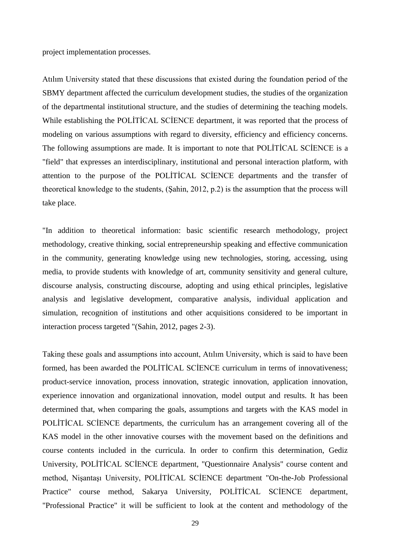project implementation processes.

Atılım University stated that these discussions that existed during the foundation period of the SBMY department affected the curriculum development studies, the studies of the organization of the departmental institutional structure, and the studies of determining the teaching models. While establishing the POLİTİCAL SCİENCE department, it was reported that the process of modeling on various assumptions with regard to diversity, efficiency and efficiency concerns. The following assumptions are made. It is important to note that POLİTİCAL SCİENCE is a "field" that expresses an interdisciplinary, institutional and personal interaction platform, with attention to the purpose of the POLİTİCAL SCİENCE departments and the transfer of theoretical knowledge to the students, (Şahin, 2012, p.2) is the assumption that the process will take place.

"In addition to theoretical information: basic scientific research methodology, project methodology, creative thinking, social entrepreneurship speaking and effective communication in the community, generating knowledge using new technologies, storing, accessing, using media, to provide students with knowledge of art, community sensitivity and general culture, discourse analysis, constructing discourse, adopting and using ethical principles, legislative analysis and legislative development, comparative analysis, individual application and simulation, recognition of institutions and other acquisitions considered to be important in interaction process targeted "(Sahin, 2012, pages 2-3).

Taking these goals and assumptions into account, Atılım University, which is said to have been formed, has been awarded the POLİTİCAL SCİENCE curriculum in terms of innovativeness; product-service innovation, process innovation, strategic innovation, application innovation, experience innovation and organizational innovation, model output and results. It has been determined that, when comparing the goals, assumptions and targets with the KAS model in POLİTİCAL SCİENCE departments, the curriculum has an arrangement covering all of the KAS model in the other innovative courses with the movement based on the definitions and course contents included in the curricula. In order to confirm this determination, Gediz University, POLİTİCAL SCİENCE department, "Questionnaire Analysis" course content and method, Nişantaşı University, POLİTİCAL SCİENCE department "On-the-Job Professional Practice" course method, Sakarya University, POLİTİCAL SCİENCE department, "Professional Practice" it will be sufficient to look at the content and methodology of the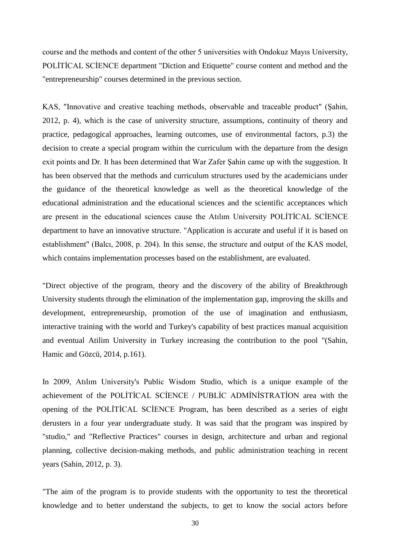course and the methods and content of the other 5 universities with Ondokuz Mayıs University, POLİTİCAL SCİENCE department "Diction and Etiquette" course content and method and the "entrepreneurship" courses determined in the previous section.

KAS, "Innovative and creative teaching methods, observable and traceable product" (Şahin, 2012, p. 4), which is the case of university structure, assumptions, continuity of theory and practice, pedagogical approaches, learning outcomes, use of environmental factors, p.3) the decision to create a special program within the curriculum with the departure from the design exit points and Dr. It has been determined that War Zafer Şahin came up with the suggestion. It has been observed that the methods and curriculum structures used by the academicians under the guidance of the theoretical knowledge as well as the theoretical knowledge of the educational administration and the educational sciences and the scientific acceptances which are present in the educational sciences cause the Atılım University POLİTİCAL SCİENCE department to have an innovative structure. "Application is accurate and useful if it is based on establishment" (Balcı, 2008, p. 204). In this sense, the structure and output of the KAS model, which contains implementation processes based on the establishment, are evaluated.

"Direct objective of the program, theory and the discovery of the ability of Breakthrough University students through the elimination of the implementation gap, improving the skills and development, entrepreneurship, promotion of the use of imagination and enthusiasm, interactive training with the world and Turkey's capability of best practices manual acquisition and eventual Atilim University in Turkey increasing the contribution to the pool "(Sahin, Hamic and Gözcü, 2014, p.161).

In 2009, Atılım University's Public Wisdom Studio, which is a unique example of the achievement of the POLİTİCAL SCİENCE / PUBLİC ADMİNİSTRATİON area with the opening of the POLİTİCAL SCİENCE Program, has been described as a series of eight derusters in a four year undergraduate study. It was said that the program was inspired by "studio," and "Reflective Practices" courses in design, architecture and urban and regional planning, collective decision-making methods, and public administration teaching in recent years (Sahin, 2012, p. 3).

"The aim of the program is to provide students with the opportunity to test the theoretical knowledge and to better understand the subjects, to get to know the social actors before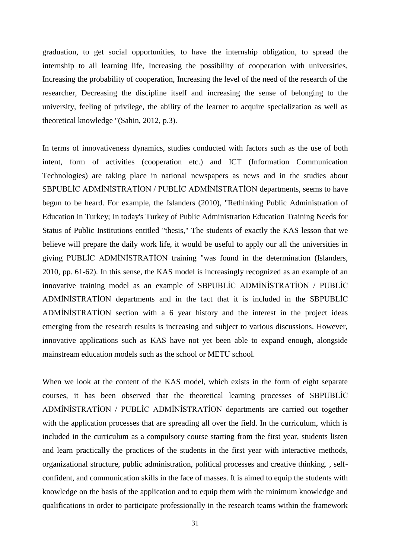graduation, to get social opportunities, to have the internship obligation, to spread the internship to all learning life, Increasing the possibility of cooperation with universities, Increasing the probability of cooperation, Increasing the level of the need of the research of the researcher, Decreasing the discipline itself and increasing the sense of belonging to the university, feeling of privilege, the ability of the learner to acquire specialization as well as theoretical knowledge "(Sahin, 2012, p.3).

In terms of innovativeness dynamics, studies conducted with factors such as the use of both intent, form of activities (cooperation etc.) and ICT (Information Communication Technologies) are taking place in national newspapers as news and in the studies about SBPUBLİC ADMİNİSTRATİON / PUBLİC ADMİNİSTRATİON departments, seems to have begun to be heard. For example, the Islanders (2010), "Rethinking Public Administration of Education in Turkey; In today's Turkey of Public Administration Education Training Needs for Status of Public Institutions entitled "thesis," The students of exactly the KAS lesson that we believe will prepare the daily work life, it would be useful to apply our all the universities in giving PUBLİC ADMİNİSTRATİON training "was found in the determination (Islanders, 2010, pp. 61-62). In this sense, the KAS model is increasingly recognized as an example of an innovative training model as an example of SBPUBLİC ADMİNİSTRATİON / PUBLİC ADMİNİSTRATİON departments and in the fact that it is included in the SBPUBLİC ADMİNİSTRATİON section with a 6 year history and the interest in the project ideas emerging from the research results is increasing and subject to various discussions. However, innovative applications such as KAS have not yet been able to expand enough, alongside mainstream education models such as the school or METU school.

When we look at the content of the KAS model, which exists in the form of eight separate courses, it has been observed that the theoretical learning processes of SBPUBLİC ADMİNİSTRATİON / PUBLİC ADMİNİSTRATİON departments are carried out together with the application processes that are spreading all over the field. In the curriculum, which is included in the curriculum as a compulsory course starting from the first year, students listen and learn practically the practices of the students in the first year with interactive methods, organizational structure, public administration, political processes and creative thinking. , selfconfident, and communication skills in the face of masses. It is aimed to equip the students with knowledge on the basis of the application and to equip them with the minimum knowledge and qualifications in order to participate professionally in the research teams within the framework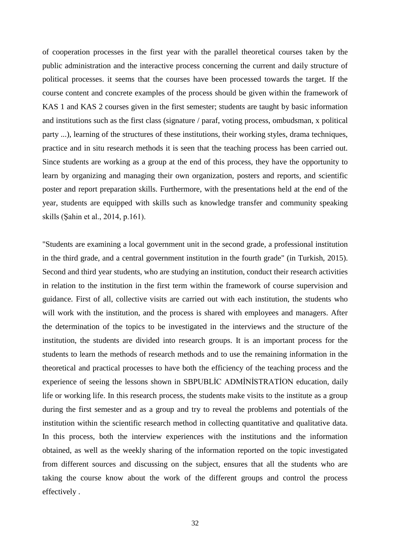of cooperation processes in the first year with the parallel theoretical courses taken by the public administration and the interactive process concerning the current and daily structure of political processes. it seems that the courses have been processed towards the target. If the course content and concrete examples of the process should be given within the framework of KAS 1 and KAS 2 courses given in the first semester; students are taught by basic information and institutions such as the first class (signature / paraf, voting process, ombudsman, x political party ...), learning of the structures of these institutions, their working styles, drama techniques, practice and in situ research methods it is seen that the teaching process has been carried out. Since students are working as a group at the end of this process, they have the opportunity to learn by organizing and managing their own organization, posters and reports, and scientific poster and report preparation skills. Furthermore, with the presentations held at the end of the year, students are equipped with skills such as knowledge transfer and community speaking skills (Şahin et al., 2014, p.161).

"Students are examining a local government unit in the second grade, a professional institution in the third grade, and a central government institution in the fourth grade" (in Turkish, 2015). Second and third year students, who are studying an institution, conduct their research activities in relation to the institution in the first term within the framework of course supervision and guidance. First of all, collective visits are carried out with each institution, the students who will work with the institution, and the process is shared with employees and managers. After the determination of the topics to be investigated in the interviews and the structure of the institution, the students are divided into research groups. It is an important process for the students to learn the methods of research methods and to use the remaining information in the theoretical and practical processes to have both the efficiency of the teaching process and the experience of seeing the lessons shown in SBPUBLİC ADMİNİSTRATİON education, daily life or working life. In this research process, the students make visits to the institute as a group during the first semester and as a group and try to reveal the problems and potentials of the institution within the scientific research method in collecting quantitative and qualitative data. In this process, both the interview experiences with the institutions and the information obtained, as well as the weekly sharing of the information reported on the topic investigated from different sources and discussing on the subject, ensures that all the students who are taking the course know about the work of the different groups and control the process effectively .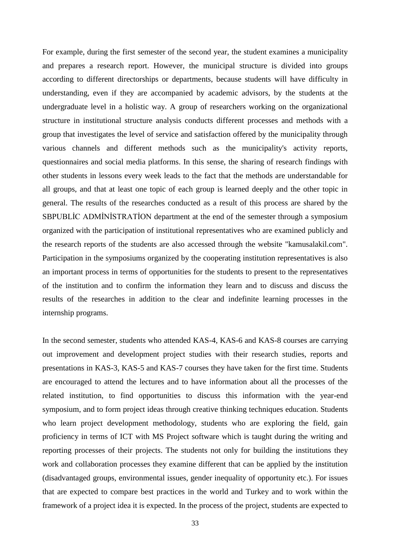For example, during the first semester of the second year, the student examines a municipality and prepares a research report. However, the municipal structure is divided into groups according to different directorships or departments, because students will have difficulty in understanding, even if they are accompanied by academic advisors, by the students at the undergraduate level in a holistic way. A group of researchers working on the organizational structure in institutional structure analysis conducts different processes and methods with a group that investigates the level of service and satisfaction offered by the municipality through various channels and different methods such as the municipality's activity reports, questionnaires and social media platforms. In this sense, the sharing of research findings with other students in lessons every week leads to the fact that the methods are understandable for all groups, and that at least one topic of each group is learned deeply and the other topic in general. The results of the researches conducted as a result of this process are shared by the SBPUBLİC ADMİNİSTRATİON department at the end of the semester through a symposium organized with the participation of institutional representatives who are examined publicly and the research reports of the students are also accessed through the website "kamusalakil.com". Participation in the symposiums organized by the cooperating institution representatives is also an important process in terms of opportunities for the students to present to the representatives of the institution and to confirm the information they learn and to discuss and discuss the results of the researches in addition to the clear and indefinite learning processes in the internship programs.

In the second semester, students who attended KAS-4, KAS-6 and KAS-8 courses are carrying out improvement and development project studies with their research studies, reports and presentations in KAS-3, KAS-5 and KAS-7 courses they have taken for the first time. Students are encouraged to attend the lectures and to have information about all the processes of the related institution, to find opportunities to discuss this information with the year-end symposium, and to form project ideas through creative thinking techniques education. Students who learn project development methodology, students who are exploring the field, gain proficiency in terms of ICT with MS Project software which is taught during the writing and reporting processes of their projects. The students not only for building the institutions they work and collaboration processes they examine different that can be applied by the institution (disadvantaged groups, environmental issues, gender inequality of opportunity etc.). For issues that are expected to compare best practices in the world and Turkey and to work within the framework of a project idea it is expected. In the process of the project, students are expected to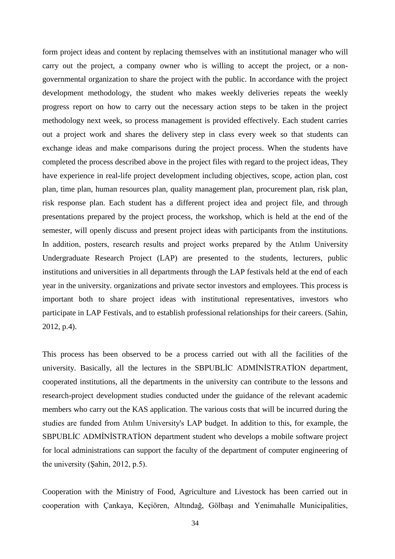form project ideas and content by replacing themselves with an institutional manager who will carry out the project, a company owner who is willing to accept the project, or a nongovernmental organization to share the project with the public. In accordance with the project development methodology, the student who makes weekly deliveries repeats the weekly progress report on how to carry out the necessary action steps to be taken in the project methodology next week, so process management is provided effectively. Each student carries out a project work and shares the delivery step in class every week so that students can exchange ideas and make comparisons during the project process. When the students have completed the process described above in the project files with regard to the project ideas, They have experience in real-life project development including objectives, scope, action plan, cost plan, time plan, human resources plan, quality management plan, procurement plan, risk plan, risk response plan. Each student has a different project idea and project file, and through presentations prepared by the project process, the workshop, which is held at the end of the semester, will openly discuss and present project ideas with participants from the institutions. In addition, posters, research results and project works prepared by the Atılım University Undergraduate Research Project (LAP) are presented to the students, lecturers, public institutions and universities in all departments through the LAP festivals held at the end of each year in the university. organizations and private sector investors and employees. This process is important both to share project ideas with institutional representatives, investors who participate in LAP Festivals, and to establish professional relationships for their careers. (Sahin, 2012, p.4).

This process has been observed to be a process carried out with all the facilities of the university. Basically, all the lectures in the SBPUBLİC ADMİNİSTRATİON department, cooperated institutions, all the departments in the university can contribute to the lessons and research-project development studies conducted under the guidance of the relevant academic members who carry out the KAS application. The various costs that will be incurred during the studies are funded from Atılım University's LAP budget. In addition to this, for example, the SBPUBLİC ADMİNİSTRATİON department student who develops a mobile software project for local administrations can support the faculty of the department of computer engineering of the university (Şahin, 2012, p.5).

Cooperation with the Ministry of Food, Agriculture and Livestock has been carried out in cooperation with Çankaya, Keçiören, Altındağ, Gölbaşı and Yenimahalle Municipalities,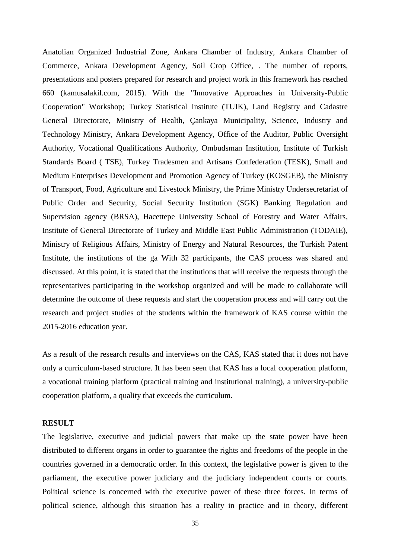Anatolian Organized Industrial Zone, Ankara Chamber of Industry, Ankara Chamber of Commerce, Ankara Development Agency, Soil Crop Office, . The number of reports, presentations and posters prepared for research and project work in this framework has reached 660 (kamusalakil.com, 2015). With the "Innovative Approaches in University-Public Cooperation" Workshop; Turkey Statistical Institute (TUIK), Land Registry and Cadastre General Directorate, Ministry of Health, Çankaya Municipality, Science, Industry and Technology Ministry, Ankara Development Agency, Office of the Auditor, Public Oversight Authority, Vocational Qualifications Authority, Ombudsman Institution, Institute of Turkish Standards Board ( TSE), Turkey Tradesmen and Artisans Confederation (TESK), Small and Medium Enterprises Development and Promotion Agency of Turkey (KOSGEB), the Ministry of Transport, Food, Agriculture and Livestock Ministry, the Prime Ministry Undersecretariat of Public Order and Security, Social Security Institution (SGK) Banking Regulation and Supervision agency (BRSA), Hacettepe University School of Forestry and Water Affairs, Institute of General Directorate of Turkey and Middle East Public Administration (TODAIE), Ministry of Religious Affairs, Ministry of Energy and Natural Resources, the Turkish Patent Institute, the institutions of the ga With 32 participants, the CAS process was shared and discussed. At this point, it is stated that the institutions that will receive the requests through the representatives participating in the workshop organized and will be made to collaborate will determine the outcome of these requests and start the cooperation process and will carry out the research and project studies of the students within the framework of KAS course within the 2015-2016 education year.

As a result of the research results and interviews on the CAS, KAS stated that it does not have only a curriculum-based structure. It has been seen that KAS has a local cooperation platform, a vocational training platform (practical training and institutional training), a university-public cooperation platform, a quality that exceeds the curriculum.

#### **RESULT**

The legislative, executive and judicial powers that make up the state power have been distributed to different organs in order to guarantee the rights and freedoms of the people in the countries governed in a democratic order. In this context, the legislative power is given to the parliament, the executive power judiciary and the judiciary independent courts or courts. Political science is concerned with the executive power of these three forces. In terms of political science, although this situation has a reality in practice and in theory, different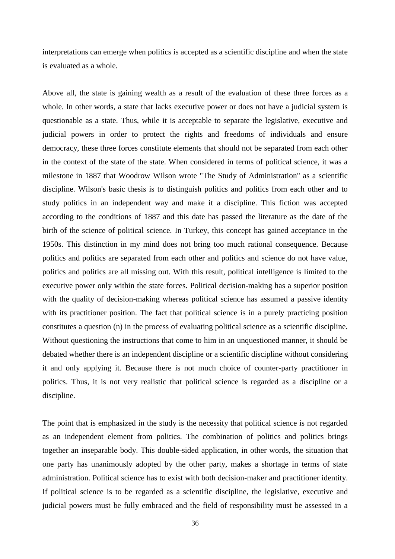interpretations can emerge when politics is accepted as a scientific discipline and when the state is evaluated as a whole.

Above all, the state is gaining wealth as a result of the evaluation of these three forces as a whole. In other words, a state that lacks executive power or does not have a judicial system is questionable as a state. Thus, while it is acceptable to separate the legislative, executive and judicial powers in order to protect the rights and freedoms of individuals and ensure democracy, these three forces constitute elements that should not be separated from each other in the context of the state of the state. When considered in terms of political science, it was a milestone in 1887 that Woodrow Wilson wrote "The Study of Administration" as a scientific discipline. Wilson's basic thesis is to distinguish politics and politics from each other and to study politics in an independent way and make it a discipline. This fiction was accepted according to the conditions of 1887 and this date has passed the literature as the date of the birth of the science of political science. In Turkey, this concept has gained acceptance in the 1950s. This distinction in my mind does not bring too much rational consequence. Because politics and politics are separated from each other and politics and science do not have value, politics and politics are all missing out. With this result, political intelligence is limited to the executive power only within the state forces. Political decision-making has a superior position with the quality of decision-making whereas political science has assumed a passive identity with its practitioner position. The fact that political science is in a purely practicing position constitutes a question (n) in the process of evaluating political science as a scientific discipline. Without questioning the instructions that come to him in an unquestioned manner, it should be debated whether there is an independent discipline or a scientific discipline without considering it and only applying it. Because there is not much choice of counter-party practitioner in politics. Thus, it is not very realistic that political science is regarded as a discipline or a discipline.

The point that is emphasized in the study is the necessity that political science is not regarded as an independent element from politics. The combination of politics and politics brings together an inseparable body. This double-sided application, in other words, the situation that one party has unanimously adopted by the other party, makes a shortage in terms of state administration. Political science has to exist with both decision-maker and practitioner identity. If political science is to be regarded as a scientific discipline, the legislative, executive and judicial powers must be fully embraced and the field of responsibility must be assessed in a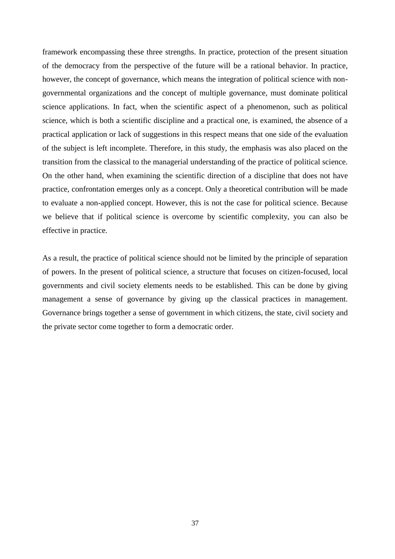framework encompassing these three strengths. In practice, protection of the present situation of the democracy from the perspective of the future will be a rational behavior. In practice, however, the concept of governance, which means the integration of political science with nongovernmental organizations and the concept of multiple governance, must dominate political science applications. In fact, when the scientific aspect of a phenomenon, such as political science, which is both a scientific discipline and a practical one, is examined, the absence of a practical application or lack of suggestions in this respect means that one side of the evaluation of the subject is left incomplete. Therefore, in this study, the emphasis was also placed on the transition from the classical to the managerial understanding of the practice of political science. On the other hand, when examining the scientific direction of a discipline that does not have practice, confrontation emerges only as a concept. Only a theoretical contribution will be made to evaluate a non-applied concept. However, this is not the case for political science. Because we believe that if political science is overcome by scientific complexity, you can also be effective in practice.

As a result, the practice of political science should not be limited by the principle of separation of powers. In the present of political science, a structure that focuses on citizen-focused, local governments and civil society elements needs to be established. This can be done by giving management a sense of governance by giving up the classical practices in management. Governance brings together a sense of government in which citizens, the state, civil society and the private sector come together to form a democratic order.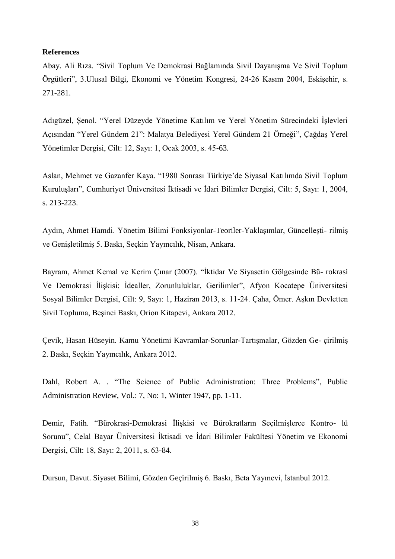#### **References**

Abay, Ali Rıza. "Sivil Toplum Ve Demokrasi Bağlamında Sivil Dayanışma Ve Sivil Toplum Örgütleri", 3.Ulusal Bilgi, Ekonomi ve Yönetim Kongresi, 24-26 Kasım 2004, Eskişehir, s. 271-281.

Adıgüzel, Şenol. "Yerel Düzeyde Yönetime Katılım ve Yerel Yönetim Sürecindeki İşlevleri Açısından "Yerel Gündem 21": Malatya Belediyesi Yerel Gündem 21 Örneği", Çağdaş Yerel Yönetimler Dergisi, Cilt: 12, Sayı: 1, Ocak 2003, s. 45-63.

Aslan, Mehmet ve Gazanfer Kaya. "1980 Sonrası Türkiye'de Siyasal Katılımda Sivil Toplum Kuruluşları", Cumhuriyet Üniversitesi İktisadi ve İdari Bilimler Dergisi, Cilt: 5, Sayı: 1, 2004, s. 213-223.

Aydın, Ahmet Hamdi. Yönetim Bilimi Fonksiyonlar-Teoriler-Yaklaşımlar, Güncelleşti- rilmiş ve Genişletilmiş 5. Baskı, Seçkin Yayıncılık, Nisan, Ankara.

Bayram, Ahmet Kemal ve Kerim Çınar (2007). "İktidar Ve Siyasetin Gölgesinde Bü- rokrasi Ve Demokrasi İlişkisi: İdealler, Zorunluluklar, Gerilimler", Afyon Kocatepe Üniversitesi Sosyal Bilimler Dergisi, Cilt: 9, Sayı: 1, Haziran 2013, s. 11-24. Çaha, Ömer. Aşkın Devletten Sivil Topluma, Beşinci Baskı, Orion Kitapevi, Ankara 2012.

Çevik, Hasan Hüseyin. Kamu Yönetimi Kavramlar-Sorunlar-Tartışmalar, Gözden Ge- çirilmiş 2. Baskı, Seçkin Yayıncılık, Ankara 2012.

Dahl, Robert A. . "The Science of Public Administration: Three Problems", Public Administration Review, Vol.: 7, No: 1, Winter 1947, pp. 1-11.

Demir, Fatih. "Bürokrasi-Demokrasi İlişkisi ve Bürokratların Seçilmişlerce Kontro- lü Sorunu", Celal Bayar Üniversitesi İktisadi ve İdari Bilimler Fakültesi Yönetim ve Ekonomi Dergisi, Cilt: 18, Sayı: 2, 2011, s. 63-84.

Dursun, Davut. Siyaset Bilimi, Gözden Geçirilmiş 6. Baskı, Beta Yayınevi, İstanbul 2012.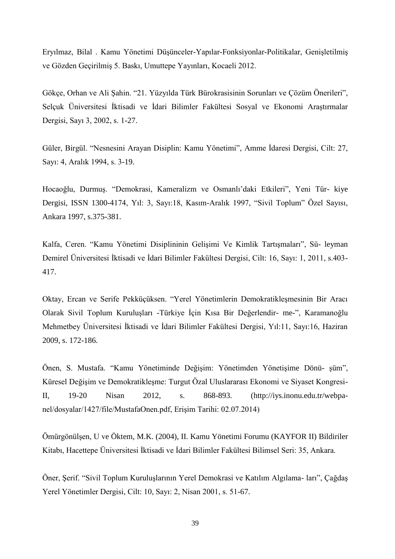Eryılmaz, Bilal . Kamu Yönetimi Düşünceler-Yapılar-Fonksiyonlar-Politikalar, Genişletilmiş ve Gözden Geçirilmiş 5. Baskı, Umuttepe Yayınları, Kocaeli 2012.

Gökçe, Orhan ve Ali Şahin. "21. Yüzyılda Türk Bürokrasisinin Sorunları ve Çözüm Önerileri", Selçuk Üniversitesi İktisadi ve İdari Bilimler Fakültesi Sosyal ve Ekonomi Araştırmalar Dergisi, Sayı 3, 2002, s. 1-27.

Güler, Birgül. "Nesnesini Arayan Disiplin: Kamu Yönetimi", Amme İdaresi Dergisi, Cilt: 27, Sayı: 4, Aralık 1994, s. 3-19.

Hocaoğlu, Durmuş. "Demokrasi, Kameralizm ve Osmanlı'daki Etkileri", Yeni Tür- kiye Dergisi, ISSN 1300-4174, Yıl: 3, Sayı:18, Kasım-Aralık 1997, "Sivil Toplum" Özel Sayısı, Ankara 1997, s.375-381.

Kalfa, Ceren. "Kamu Yönetimi Disiplininin Gelişimi Ve Kimlik Tartışmaları", Sü- leyman Demirel Üniversitesi İktisadi ve İdari Bilimler Fakültesi Dergisi, Cilt: 16, Sayı: 1, 2011, s.403- 417.

Oktay, Ercan ve Serife Pekküçüksen. "Yerel Yönetimlerin Demokratikleşmesinin Bir Aracı Olarak Sivil Toplum Kuruluşları -Türkiye İçin Kısa Bir Değerlendir- me-", Karamanoğlu Mehmetbey Üniversitesi İktisadi ve İdari Bilimler Fakültesi Dergisi, Yıl:11, Sayı:16, Haziran 2009, s. 172-186.

Önen, S. Mustafa. "Kamu Yönetiminde Değişim: Yönetimden Yönetişime Dönü- şüm", Küresel Değişim ve Demokratikleşme: Turgut Özal Uluslararası Ekonomi ve Siyaset Kongresi-II, 19-20 Nisan 2012, s. 868-893. (http://iys.inonu.edu.tr/webpanel/dosyalar/1427/file/MustafaOnen.pdf, Erişim Tarihi: 02.07.2014)

Ömürgönülşen, U ve Öktem, M.K. (2004), II. Kamu Yönetimi Forumu (KAYFOR II) Bildiriler Kitabı, Hacettepe Üniversitesi İktisadi ve İdari Bilimler Fakültesi Bilimsel Seri: 35, Ankara.

Öner, Şerif. "Sivil Toplum Kuruluşlarının Yerel Demokrasi ve Katılım Algılama- ları", Çağdaş Yerel Yönetimler Dergisi, Cilt: 10, Sayı: 2, Nisan 2001, s. 51-67.